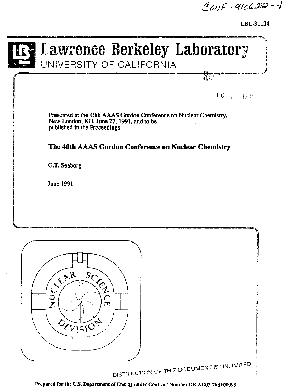$CONF - 9106282 - 1$ 

LBL-31134

# Lawrence Berkeley Laboratory

UNIVERSITY OF CALIFORNIA

0011 (1991

ਜ਼ਿੰਨ

Presented at the 40th AAAS Gordon Conference on Nuclear Chemistry, New London, NH, June 27, 1991, and to be published in the Proceedings

# The 40th AAAS Gordon Conference on Nuclear Chemistry

G.T. Seaborg

**June 1991** 



Prepared for the U.S. Department of Energy under Contract Number DE-AC03-76SF00098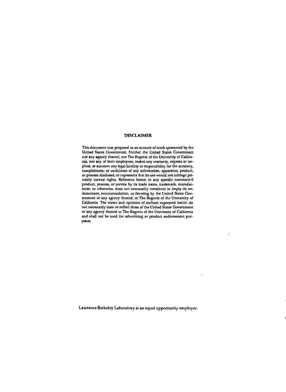#### DISCLAIMER

This document was prepared as an account of work sponsored by the United States Government. Neither the United States Government nor any agency thereof, nor The Regents of the University of California, nor any of their employees, makes any warranty, express or Implied, or assumes any legal liability or responsibility for the accuracy, completeness, or usefulness of any information, apparatus, product, or process disclosed, or represents that its use would not infringe privately owned rights. Reference herein to any specific commercial product, process, or service by its trade name, trademark, manufacturer, or otherwise, does not necessarily constitute or imply its endorsement, recommendation, or favoring by the United States Government or any agency thereof, or The Regents of the University of California. The views and opinions of authors expressed herein do not necessarily state or reflect those of the United States Government or any agency thereof or The Regents of the University of California and shall not be used for advertising or product endorsement purposes.

Lawrence Berkeley Laboratory is an equal opportunity employer.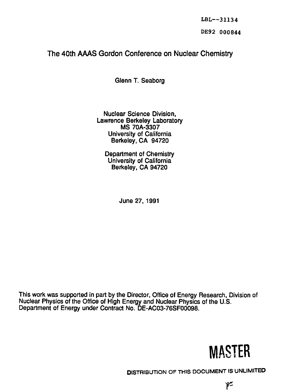**LBL—31134 DE92 000844** 

# The 40th AAAS Gordon Conference on Nuclear Chemistry

Glenn T. Seaborg

Nuclear Science Division, Lawrence Berkeley Laboratory MS 70A-3307 University of California Berkeley, CA 94720

Department of Chemistry University of California Berkeley, CA 94720

June 27, 1991

This work was supported in part by the Director, Office of Energy Research, Division of Nuclear Physics of the Office of High Energy and Nuclear Physics of the U.S. Department of Energy under Contract No. DE-AC03-76SF00098.



**DISTRIBUTION OF THIS DOCUMENT IS UNLIMITED**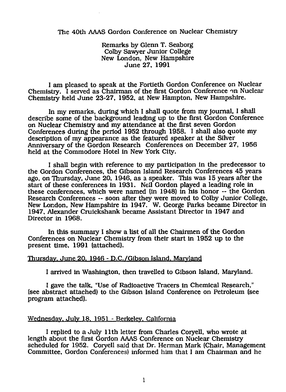#### The 40th AAAS Gordon Conference on Nuclear Chemistry

Remarks by Glenn T. Seaborg Colby Sawyer Junior College New London, New Hampshire June 27, 1991

I am pleased to speak at the Fortieth Gordon Conference on Nuclear Chemistry. I served as Chairman of the first Gordon Conference on Nuclear Chemistry held June 23-27, 1952, at New Hampton, New Hampshire.

In my remarks, during which I shall quote from my journal, I shall describe some of the background leading up to the first Gordon Conference on Nuclear Chemistry and my attendance at the first seven Gordon Conferences during the period 1952 through 1958. I shall also quote my description of my appearance as the featured speaker at the Silver Anniversary of the Gordon Research Conferences on December 27, 1956 held at the Commodore Hotel in New York City.

I shall begin with reference to my participation in the predecessor to the Gordon Conferences, the Gibson Island Research Conferences 45 years ago, on Thursday, June 20, 1946, as a speaker. This was 15 years after the start of these conferences in 1931. Neil Gordon played a leading role in these conferences, which were named (in 1948) in his honor ~ the Gordon Research Conferences — soon after they were moved to Colby Junior College, New London, New Hampshire in 1947. W. George Parks became Director in 1947, Alexander Cruickshank became Assistant Director in 1947 and Director in 1968.

In this summary I show a list of all the Chairmen of the Gordon Conferences on Nuclear Chemistry from their start in 1952 up to the present time, 1991 (attached).

#### Thursday. June 20. 1946 - D.C./Gibson Island. Maryland

I arrived in Washington, then travelled to Gibson Island, Maryland.

I gave the talk, "Use of Radioactive Tracers in Chemical Research," (see abstract attached) to the Gibson Island Conference on Petroleum (see program attached).

#### Wednesday. July 18. 1951 - Berkeley. California

I replied to a July 11th letter from Charles Coryell, who wrote at length about the first Gordon AAAS Conference on Nuclear Chemistry scheduled for 1952. Coryell said that Dr. Herman Mark (Chair, Management Committee, Gordon Conferences) informed him that I am Chairman and he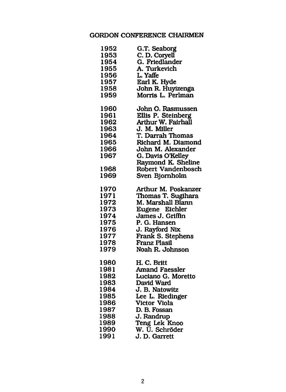# **GORDON CONFERENCE CHAIRMEN**

| 1952 | G.T. Seaborg             |
|------|--------------------------|
| 1953 | C. D. Coryell            |
| 1954 | G. Friedlander           |
| 1955 | A. Turkevich<br>L. Yaffe |
| 1956 |                          |
| 1957 | Earl K. Hyde             |
| 1958 | John R. Huyizenga        |
| 1959 | Morris L. Perlman        |
| 1960 | John O. Rasmussen        |
| 1961 | Ellis P. Steinberg       |
| 1962 | Arthur W. Fairhall       |
| 1963 | J. M. Miller             |
| 1964 | T. Darrah Thomas         |
| 1965 | Richard M. Diamond       |
| 1966 | John M. Alexander        |
| 1967 | G. Davis O'Kelley        |
|      | Raymond K. Sheline       |
| 1968 | Robert Vandenbosch       |
| 1969 | Sven Bjornholm           |
| 1970 | Arthur M. Poskanzer      |
| 1971 | Thomas T. Sugihara       |
| 1972 | M. Marshall Blann        |
| 1973 | Eugene Eichler           |
| 1974 | James J. Griffin         |
| 1975 | P. G. Hansen             |
| 1976 | J. Rayford Nix           |
| 1977 | Frank S. Stephens        |
| 1978 | Franz Plasil             |
| 1979 | Noah R. Johnson          |
| 1980 | H. C. Britt              |
| 1981 | <b>Amand Faessler</b>    |
| 1982 | Luciano G. Moretto       |
| 1983 | David Ward               |
| 1984 | J. B. Natowitz           |
| 1985 | Lee L. Riedinger         |
| 1986 | Victor Viola             |
| 1987 | D. B. Fossan             |
| 1988 | J. Randrup               |
| 1989 | Teng Lek Knoo            |
| 1990 | W. U. Schröder           |
| 1991 | J. D. Garrett            |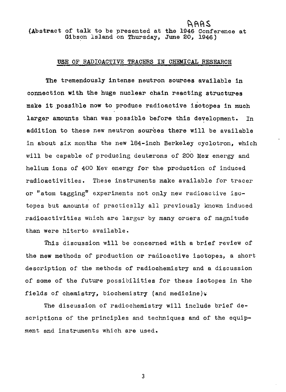(Abstract of talk to be presented at the 1946 Conference at Gibson Island on Thursday, June 20, 1946)

#### USE OF RADIOACTIVE TRACERS IN CHEMICAL RESEARCH

RAAA

The tremendously Intense neutron sources available in connection with the huge nuclear chain reacting structures make it possible now to produce radioactive isotopes in much larger amounts than was possible before this development. In addition to these new neutron sources there will be available in about six months the new 184-inch Berkeley cyclotron, which will be capable of producing deuterons of 200 Mex energy and helium ions of 400 Mev energy for the production of induced radioactivities. These instruments make available for tracer or "atom tagging" experiments not only new radioactive isotopes but amounts of practically all previously known induced radioactivities which are larger by many orders of magnitude than were hiterto available.

This discussion will be concerned with a brief review of the new methods of production or radioactive isotopes, a short description of the methods of radiochemistry and a discussion of some of the future possibilities for these isotopes in the fields of chemistry, biochemistry (and medicine).

The discussion of radiochemistry will include brief descriptions of the principles and techniques and of the equipment and instruments which are used.

3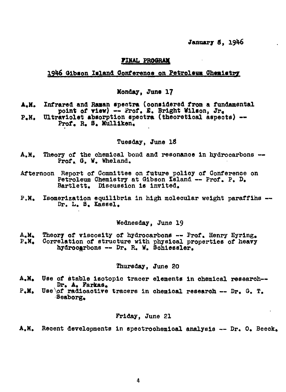**January g, 1946** 

#### **FINAL PROGRAM**

#### 1946 Gibson Island Conference on Petroleum Chemistry

#### **Monday, June 17**

**A.M. Infrared and Raman spectra (considered from a fundamental point of view) — Prof. B. Bright Wilson, Jr. P.M. Ultraviolet absorption speotra (theoretloal aspeots) ~** 

**Prof. R. S. Hulliken,** 

#### **Tuesday, June** *IS*

- **A.M. Theory of the chemical bond and resonance in hydrocarbons Prof. G. W. Wheland.**
- **Afternoon Report of Committee on future policy of Conference on Petroleum Chemistry at Gibson Island ~ Prof. P, D, Bartlett. Discussion is invited.**
- **P.M. Isomerizatlon equilibria in high molecular weight paraffins Dr. L. S. Kassel,**

#### **Wednesday, June 19**

**A.M. Theory of viscosity of hydrocarbons — Prof. Henry Eyring.**  Correlation of structure with physical properties of heavy **hydrocarbons — Dr. R. W. Sohiessler.** 

#### **Thursday, June 20**

- **A.M. Use of stable isotopic tracer elements in chemical research— Dr. A. Parkas.**
- **P.M. Use\of radioaotive tracers in chemical research Dr. G. T. Seaborg,**

#### **Friday, June 21**

A.M. Recent developments in spectrochemical analysis -- Dr. O. Beeck.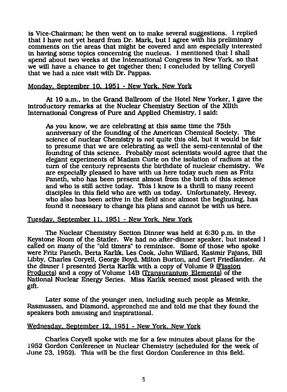is Vice-Chairman; he then went on to make several suggestions. I replied that I have not yet heard from Dr. Mark, but I agree with his preliminary comments on the areas that might be covered and am especially interested in having some topics concerning the nucleus. I mentioned that I shall spend about two weeks at the International Congress in New York, so that we will have a chance to get together then; I concluded by telling Coryell that we had a nice visit with Dr. Pappas.

#### Monday. September 10. 1951 - New York. New York

At 10 a.m., in the Grand Ballroom of the Hotel New Yorker. I gave the introductory remarks at the Nuclear Chemistry Section of the Xllth International Congress of Pure and Applied Chemistry, I said:

As you know, we are celebrating at this same time the 75th anniversary of the founding of the American Chemical Society. The science of nuclear Chemistry is not quite this old, but it would be fair to presume that we are celebrating as well the semi-centennial of the founding of this science. Probably most scientists would agree that the elegant experiments of Madam Curie on the isolation of radium at the turn of the century represents the birthdate of nuclear chemistry. We are especially pleased to have with us here today such men as Fritz Paneth, who has been present almost from the birth of this science and who is still active today. This I know is a thrill to many recent disciples in this field who are with us today. Unfortunately, Hevesy, who also has been active in the field since almost the beginning, has found it necessary to change his plans and cannot be with us here.

### Tuesday. September 11. 1951 - New York. New York

The Nuclear Chemistry Section Dinner was held at 6:30 p.m. in the Keystone Room of the Statler. We had no after-dinner speaker, but instead I called on many of the "old timers" to reminisce. Some of those who spoke were Fritz Paneth, Berta Karlik, Les Cook, John Willard, Kasimir Fajans, Bill Libby, Charles Coryell, George Boyd, Milton Burton, and Gert Friedlander. At the dinner I presented Berta Karlik with a copy of Volume 9 (Fission Products) and a copy of Volume 14B (Transuranium Elements) of the National Nuclear Energy Series. Miss Karlik seemed most pleased with the gift.

Later some of the younger men, including such people as Meinke, Rasmussen, and Diamond, approached me and told me that they found the speakers both amusing and inspirational.

#### Wednesday. September 12. 1951 - New York. New York

Charles Coryell spoke with me for a few minutes about plans for the 1952 Gordon Conference in Nuclear Chemistry (scheduled for the week of June 23, 1952). This will be the first Gordon Conference in this field.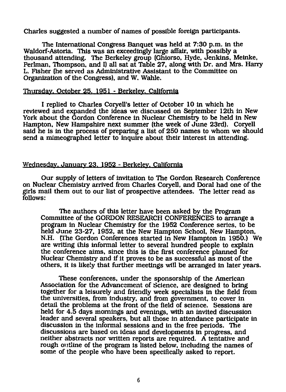Charles suggested a number of names of possible foreign participants.

The International Congress Banquet was held at 7:30 p.m. in the Waldorf-Astoria. This was an exceedingly large affair, with possibly a thousand attending. The Berkeley group (Ghiorso, Hyde, Jenkins, Meinke, Perlman, Thompson, and I) all sat at Table 27, along with Dr. and Mrs. Harry L. Fisher (he served as Administrative Assistant to the Committee on Organization of the Congress), and W. Wahle.

#### Thursday. October 25. 1951 - Berkeley. California

I replied to Charles Coryell's letter of October 10 in which he reviewed and expanded the ideas we discussed on September 12th in New York about the Gordon Conference in Nuclear Chemistry to be held in New Hampton, New Hampshire next summer (the week of June 23rd). Coryell said he is in the process of preparing a list of 250 names to whom we should send a mimeographed letter to inquire about their interest in attending.

#### Wednesday. January 23. 1952 - Berkeley. California

Our supply of letters of invitation to The Gordon Research Conference on Nuclear Chemistry arrived from Charles Coryell, and Doral had one of the girls mail them out to our list of prospective attendees. The letter read as follows:

The authors of this letter have been asked by the Program Committee of the GORDON RESEARCH CONFERENCES to arrange a program in Nuclear Chemistry for the 1952 Conference series, to be held June 23-27, 1952, at the New Hampton School, New Hampton, N.H. (The Gordon Conferences started in New Hampton in 1950.) We are writing this informal letter to several hundred people to explain the conference aims, since this is the first conference planned for Nuclear Chemistry and if it proves to be as successful as most of the others, it is likely that further meetings will be arranged in later years.

These conferences, under the sponsorship of the American Association for the Advancement of Science, are designed to bring together for a leisurely and friendly week specialists in the field from the universities, from industry, and from government, to cover in detail the problems at the front of the field of science. Sessions are held for 4.5 days mornings and evenings, with an invited discussion leader and several speakers, but all those in attendance participate in discussion in the informal sessions and in the free periods. The discussions are based on ideas and developments in progress, and neither abstracts nor written reports are required. A tentative and rough outline of the program is listed below, including the names of some of the people who have been specifically asked to report.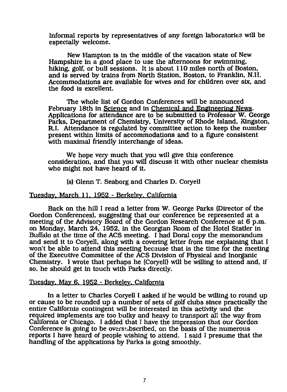Informal reports by representatives of any foreign laboratories will be especially welcome.

New Hampton is in the middle of the vacation state of New Hampshire in a good place to use the afternoons for swimming, hiking, golf, or bull sessions. It is about 110 miles north of Boston, and Is served by trains from North Station, Boston, to Franklin, N.H. Accommodations are available for wives and for children over six, and the food is excellent.

The whole list of Gordon Conferences will be announced February 18th in Science and in Chemical and Engineering News. Applications for attendance are to be submitted to Professor W. George Parks, Department of Chemistry, University of Rhode Island, Kingston, R.I. Attendance is regulated by committee action to keep the number present within limits of accommodations and to a figure consistent with maximal friendly interchange of ideas.

We hope very much that you will give this conference consideration, and that you will discuss it with other nuclear chemists who might not have heard of it.

(s) Glenn T. Seaborg and Charles D. Coryell

#### Tuesday. March 11. 1952 - Berkeley. California

Back on the hill I read a letter from W. George Parks (Director of the Gordon Conferences), suggesting that our conference be represented at a meeting of the Advisory Board of the Gordon Research Conference at 6 p.m. on Monday, March 24, 1952, in the Georgian Room of the Hotel Statler in Buffalo at the time of the ACS meeting. I had Doral copy the memorandum and send it to Coryell, along with a covering letter from me explaining that I won't be able to attend this meeting because that is the time for the meeting of the Executive Committee of the ACS Division of Physical and Inorganic Chemistry. I wrote that perhaps he (Coryell) will be willing to attend and, if so, he should get in touch with Parks directly.

#### Tuesday. May 6. 1952 - Berkeley. California

In a letter to Charles Coryell I asked if he would be willing to round up or cause to be rounded up a number of sets of golf clubs since practically the entire California contingent will be interested in this activity and the required implements are too bulky and heavy to transport al! the way from California or Chicago. I added that I have the impression that our Gordon Conference is going to be oversubscribed, on the basis of the numerous reports I have heard of people wishing to attend. I said I presume that the handling of the applications by Parks is going smoothly.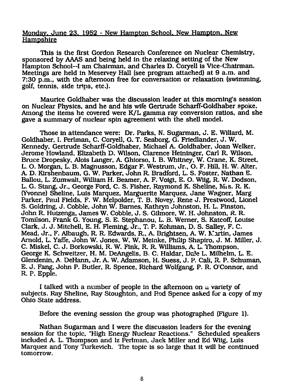#### Monday. June 23. 1952 - New Hampton School. New Hampton. New **Hampshire**

This is the first Gordon Research Conference on Nuclear Chemistry, sponsored by AAAS and being held in the relaxing setting of the New Hampton School~I am Chairman, and Charles D. Coryell is Vice-Chairman. Meetings are held in Meservey Hall (see program attached) at 9 a.m. and 7:30 p.m., with the afternoon free for conversation or relaxation (swimming, golf, tennis, side trips, etc.).

Maurice Goldhaber was the discussion leader at this morning's session on Nuclear Physics, and he and his wife Gertrude Scharff-Goldhaber spoke. Among the items he covered were K/L gamma ray conversion ratios, and she gave a summary of nuclear spin agreement with the shell model.

Those in attendance were: Dr. Parks, N. Sugarman, J. E. Willard, M. Goldhaber, I. Perlman, C. Coryell, G. T. Seaborg, G. Friedlander, J. W. Kennedy, Gertrude Scharff-Goldhaber, Michael A. Goldhaber, Joan Welker, Jerome Howland, Elizabeth D. Wilson, Clarence Heininger, Carl R. Wilson, Bruce Dropesky, Alois Langer, A. Ghiorso, I. B. Whitney, W. Crane, K. Street, L. O. Morgan, L. B. Magnusson, Edgar F. Westrum, Jr., O. F. Hill, H. W. Alter, A. D. Kirshenbaum, G. W. Parker, John R. Bradford, L. S. Foster, Nathan E. Ballou. L. Zumwalt, William H. Beamer, A. F. Voigt, E. O. Wiig, R. W. Dodson, L. G. Stang, Jr., George Ford, C. S. Fisher, Raymond K. Sheline, Mis. R. K. (Yvonne) Sheline, Luis Marquez, Marguerite Marquez, Jane Wagner, Marg Parker, Paul Fields, F. W. Melpolder, T. B. Novey, Rene J. Prestwood, Lionel S. Goldring, J. Cobble, John W. Barnes, Kathryn Johnston, H. L. Finston, John R. Huizenga, James W. Cobble. J. S. Gllmore, W. H. Johnston, R. R. Tomilson, Frank G. Young, S. E. Stephanou, L. B. Werner, S. Katcoff, Louise Clark, J. J. Mitchell, E. H. Fleming, Jr., T. P. Kohman, D. S. Salley, F. C. Mead, Jr., F. Albaugh, R. R. Edwards, R., A. Brightsen, A. W. K'artin, James Arnold, L. Yaffe, John W. Jones, W. W. Meinke, Philip Shapiro, J. M. Miller, J. C. Miskel, C. J. Borkowski, R. W. Fink, R. R. Williams, A. L. Thompson, George K. Schweitzer, H. M. DeAngelis, B- C. Haldar. Dale L. Milhelm, L. E. Glendenin, A, DeHann, Jr. A. W. Adamson, H. Suess, J. P, Cali, R. P. Schuman, E. J. Fang, John P. Butler, R. Spence, Richard Wolfgang, P, R. O'Connor, and R. P. Epple.

I talked with a number of people in the afternoon on a variety of subjects. Ray Sheline, Ray Stoughton, and Rod Spence asked for a copy of my Ohio State address.

Before the evening session the group was photographed (Figure 1).

Nathan Sugarman and I were the discussion leaders for the evening session for the topic, "High Energy Nuclear Reactions." Scheduled speakers included A. L. Thompson and Iz Perlman, Jack Miller and Ed Wiig, Luis Marquez and Tony Turkevich. The topic is so large that it will be continued tomorrow.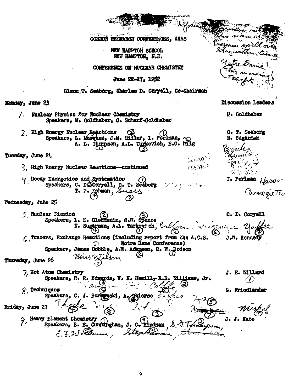Worin CORDON RESEARCH CONFERENCES, AAAS pam spill<br>anwithout NEW RAMPTON SCHOOL NEW HAMPTON, N.H. CONFERENCE ON NUCLEAR CHELLSTRY June 22-27, 1952 Glenn T. Seaborg, Charles D. Conyell, Co-Chairman Monday, June 23 Discussion Leader's /, Nuclear Physics for Nuclear Chemistry N. Goldhaber Speakers, M. Goldhaber, G. Scharf-Goldhaber 2 High Energy Nuclear Acactions G. T. Seaborg Speakers, L. Marquez, J.M. Miller, I. Perlman, N. Sugarman A. L. Tagupson, A.L. Turkevich, E.O. Wilg Tuesday, June 2/1 ziczneji<br>14.12.12 **7 High Energy Nuclear Remotions-continued** I. Perlinan  $\frac{1}{2}$ prou 4 Decay Energetics and Systematics Speakers, C. D. Scoryell, G. T. Seaborg 7 1 ..... Camegie Tec. ල Wednesday, June 25 S Nuclear Fission C. D. Corvell Speakers, L. E. Glendenin, R.W. Sponce N. Sugarman, A.L. Turkeys ch, Ball وريون الحب sac<sub>te</sub>c Up (Tracers, Exchange Reactions (including report from the A.C.S. J.W. Kennedy **Notre Dame Conference)** Speakers, James Cobble, A.W. Adamson, R. W. Dodson ninsneilen Thursday, June 26 7, Hot Atom Chemistry J. E. Willard Speakers, R. Edwards, W. H. Hamill, R.R. Williams, Jr.  $\hat{\zeta}$ . Techniques G. Friedlander Speakers, C. J. Borlogski, A. Advaso, Faires Friday, June 27 C. Heavy Element Chemistry (1, C. Hindman, 8, 8, 7, 7, 2001) J. J. Katz  $5725$ Stephanan

q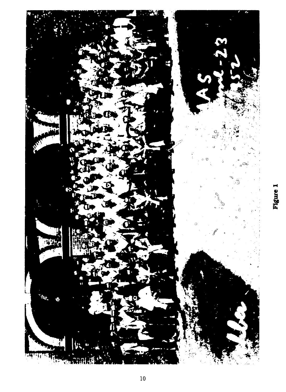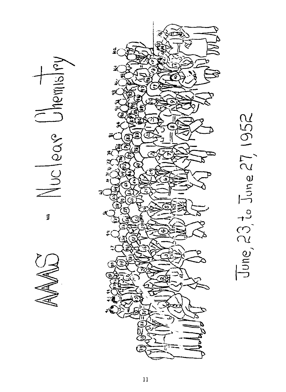Vuclear Lihemistry Ø

AVAVAL



June, 23, to June 27, 1952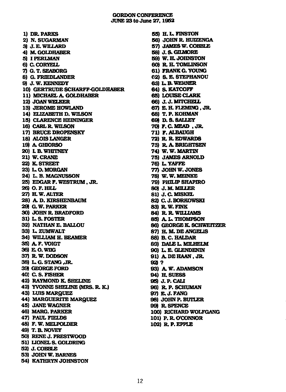#### **GORDON CONFERENCE JUNE 23 to June 27,1962**

**1) DR. PARKS 2) N. SUGARMAN 3) J.E.WILLARD 4) M.GOLDHABER 5) IPERLMAN 6) C CORYELL 7) G. T. SEABORG 8) G. FRIEDLANDER 9) J.W.KENNEDY 10) GERTRUDE SCHARFF-GOLDHABER 11) MICHAEL A. GOLDHABER 12) JOANWELKER 13) JEROME HOWLAND 14) ELIZABETH D. WILSON 15) CLARENCE HEDONGER 16) CARL R. WILSON 17) BRUCE DROPENSKY 18) ALOIS LANGER 19) A. GfflORSO 20) LB.WHITNEY 21) W.CRANE 22) K. STREET 23) L. O.MORGAN 24) L. B. MAGNUSSON 25) EDGARF.WESTRUM, JR. 26) O.F.HILL 27) H.W. ALTER 28) A. D. KIRSHENBAUM 29) G.W.PARKER 30) JOHN R. BRADFORD 31) L.S. FOSTER 32) NATHAN E. BALLOU 33) L.ZUMWALT 34) WnXIAM H. BEAMER 35) A.F.VOIGT 36) B.O.WIIG 37) R.W.DODSON 38) L.G. STANG .JR. 39) GEORGE FORD 40) C. S.FISHER 42) RAYMOND K. SHELINE 42} YVONNE SHELINE (MRS. R.K.) 43) LUISMARgUBZ 44) MARGUERITE MARQUEZ 45) JANE WAGNER 46) MARG. PARKER 47) PAUL FIELDS 48) F.W.MELPOLDER 49) T.RNOVEY 50) RENEJ.PRESTWOOD 51) UONELS.GOLDRING 52) J. COBBLE 53) JOHN W.BARNES 54) KATHRYN JOHNSTON** 

**55) H.L.FINSTON 56) JOHNR.HUIZENGA 57) JAMES W. COBBLE 58) J.S.&LM0RE 59) W.H. JOHNSTON 60) R.H.TOMUNSON 61) FRANK G. YOUNG 02) S. E. STEPHANOU 63) L.B. WERNER 64) S.KATCOFF 65) LOUISE CLARK 66) J. J. MITCHELL 67) E.H. FLEMING, JR. 68) T. P. KOHMAN 69) D.S.SALLEY 70) F.CMEAD .JR. 71) r.ALBAUGH 72) RR . EDWARDS 73) R.A.BRIGHTSEN 74) W.W.MARTIN 75) JAMES ARNOLD 76) L.YAFFE 77) JOHN W.JONES 78) W.W.MEINKE 79) PHILIP SHAPIRO 80) J. M. MILLER 81) J.C.MISKEL 82) C. J.BORKOWSKI 83) R.W.FINK 84) R.R. WILLIAMS 85) A. L. THOMPSON 86) GEORGE K. SCHWEITZER 87) H.M.DEANGEL1S 88) B. C. HALDAR 89) DALEL.MILHELM 90) L. E. GLENDENIN 91) A.DEHAAN.JR. 92)? 93) A.W.ADAMSON 94) H.SUESS 95) J.P.CAU 96) R.P. SCHUMAN 97) E. J. FANG 98) JOHN P. BUTLER 99) R.SPENCE 100) RICHARD WOLFGANG 101) P.R.OCONNOR 102) R.P.EPPLE**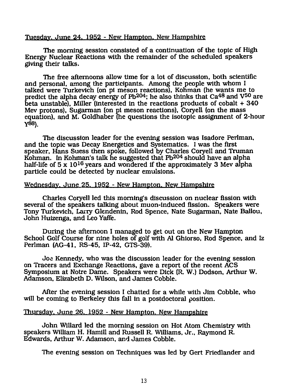#### Tuesday. June 24. 1952 - New Hampton. New Hampshire

The morning session consisted of a continuation of the topic of High Energy Nuclear Reactions with the remainder of the scheduled speakers giving their talks.

The free afternoons allow time for a lot of discussion, both scientific and personal, among the participants. Among the people with whom I talked were Turkevich (on pi meson reactions), Kohman (he wants me to predict the alpha decay energy of Pb<sup>204</sup>; he also thinks that Ca<sup>48</sup> and V<sup>50</sup> are beta unstable), Miller (interested in the reactions products of cobalt + 340 Mev protons), Sugarman (on pi meson reactions), Coryell (on the mass equation), and M. Goldhaber (he questions the isotopic assignment of 2-hour Y88).

The discussion leader for the evening session was Isadore Perlman, and the topic was Decay Energetics and Systematics. I was the first speaker, Hans Suess then spoke, followed by Charles Coryell and Truman Kohman. In Kohman's talk he suggested that Pb<sup>204</sup> should have an alpha half-life of  $5 \times 10^{16}$  years and wondered if the approximately 3 Mev alpha particle could be detected by nuclear emulsions.

#### Wednesday. June 25. 1952 - New Hampton. New Hampshire

Charles Coryell led this morning's discussion on nuclear fission with several of the speakers talking about muon-induced fission. Speakers were Tony Turkevich, Larry Glendenin, Rod Spence, Nate Sugarman, Nate Ballou, John Huizenga, and Leo Yaffe.

During the afternoon I managed to get out on the New Hampton School Golf Course for nine holes of golf with Al Ghiorso, Rod Spence, and Iz Perlman (AG-41, RS-45, IP-42, GTS-39).

Joe Kennedy, who was the discussion leader for the evening session on Tracers and Exchange Reactions, gave a report of the recent ACS Symposium at Notre Dame. Speakers were Dick (R. W.) Dodson, Arthur W. Adamson, Elizabeth D. Wilson, and James Cobble.

After the evening session I chatted for a while with Jim Cobble, who will be coming to Berkeley this fall in a postdoctoral position.

#### Thursday. June 26. 1952 - New Hampton. New Hampshire

John Willard led the morning session on Hot Atom Chemistry with speakers William H. Hamill and Russell R. Williams, Jr., Raymond R. Edwards, Arthur W. Adamson, and James Cobble.

The evening session on Techniques was led by Gert Friedlander and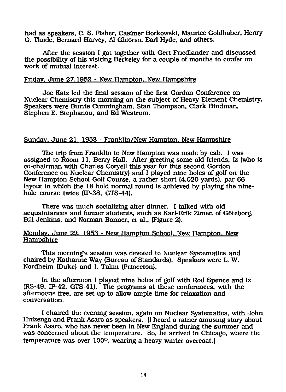had as speakers, C. S. Fisher, Casimer Borkowski, Maurice Goldhaber, Henry G. Thode, Bernard Harvey, Al Ghiorso, Earl Hyde, and others.

After the session I got together with Gert Friedlander and discussed the possibility of his visiting Berkeley for a couple of months to confer on work of mutual interest.

#### Friday. June 27.1952 - New Hampton. New Hampshire

Joe Katz led the final session of the first Gordon Conference on Nuclear Chemistry this morning on the subject of Heavy Element Chemistry. Speakers were Burris Cunningham, Stan Thompson, Clark Hindman, Stephen E. Stephanou, and Ed Westrum.

#### Sunday. June 21. 1953 - Franklin/New Hampton. New Hampshire

The trip from Franklin to New Hampton was made by cab. I was assigned to Room 11, Berry Hall. After greeting some old friends, Iz (who is co-chairman with Charles Coryell this year for this second Gordon Conference on Nuclear Chemistry) and I played nine holes of golf on the New Hampton School Golf Course, a rather short (4,020 yards), par 66 layout in which the 18 hold normal round is achieved by playing the ninehole course twice (IP-38, GTS-44).

There was much socializing after dinner. I talked with old acquaintances and former students, such as Karl-Erik Zimen of GGteborg, Bill Jenkins, and Norman Bonner, et al., (Figure 2).

#### Monday. June 22. 1953 - New Hampton School. New Hampton. New Hampshire

This morning's session was devoted to Nuclear Systematics and chaired by Katharine Way (Bureau of Standards). Speakers were L. W. Nordheim (Duke) and I. Talmi (Princeton).

In the afternoon I played nine holes of golf with Rod Spence and Iz (RS-49, IP-42, GTS-41). The programs at these conferences, with the afternoons free, are set up to allow ample time for relaxation and conversation.

I chaired the evening session, again on Nuclear Systematics, with John Huizenga and Frank Asaro as speakers. [I heard a ratner amusing story about Frank Asaro, who has never been in New England during the summer and was concerned about the temperature. So, he arrived in Chicago, where the temperature was over 100°, wearing a heavy winter overcoat.]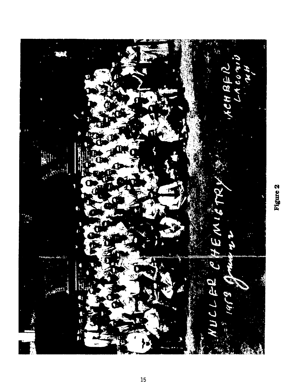

Figure 2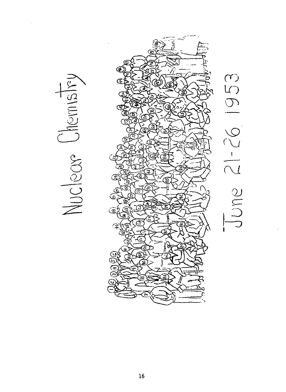Nuclear Chemistry



 ${\bf 16}$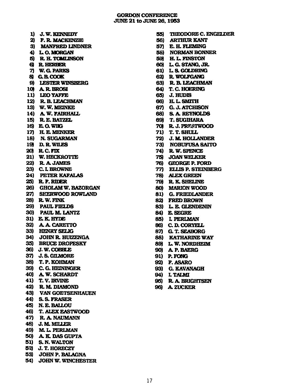#### **GORDON CONFERENCE JUNE 21 to JUNE 26, 1953**

**1) J.W.KENNEDY 2) F.R.MACKENZIE 3) MANFRED LINDNER 4) L O.MORGAN 5) R.H.TOMUNSON 6) R.HERBER 7) W.G. PARKS 8) G. a COOK 9) LESTER WINSBERG 10) A.R.BROSI 11) LEOYAFFE 12) R. B. LEACHMAN 13) W.W.ME3NKE 14) AW.FAIRHALL 15) R.E.BATZEL 16) E.O.W11G 17) H.E.MENKER 18) N. SUGARMAN 19) D.R. WILES 20) RC.FDC 21) W.HECKSOTTE 22) R. A. JAMES 23) C.L BROWNE 24) PETER KAFALAS 25) R.F. RIDER 26) GHOLAM W. BAZORGAN 27) SHERWOOD ROWLAND 28) R.W.FTOK 29) PAUL FIELDS 30) PAULM.LANTZ 31) E.K.HYDE 32) AA.CARETTO 33) HENRYSEUG 34) JOHN R. HUIZENGA 35) BRUCE DROPESKY 36) J. W. COBBLE 37) J.S.GILMORE 38) T.P.KOHMAN 39) C. G. HEININGER 40) A. W. SCHARDT 41) T.V.IRVINE 42) R.M. DIAMOND 43) VAN GOETSENHAUEN 44) S.S. FRASER 45) N.E.BALLOU 46) T. ALEX EASTWOOD 47) R.A.NAUMANN 48) J. M. MILLER 49) M. L. PERLMAN 50) A. K DAS GUPTA 51) S. N. WALTON 52) J.T.HORECZY 53) JOHNP.BALAGNA 54) JOHN W.WINCHESTER** 

**55) THEODORE C.ENGELDER 56) ARTHUR KANT 57) E.H. FLEMING 58) NORMAN BONNER 59) H.L.FINSTON 60) L.G.STANG.JR. 61) L.&GOLDRING 62) R. WOLFGANG 63) R.R LEACHMAN 64) T. C. HOERING 65) J.HUDB 66) H.L.SMTTH 67) G. J. ATCHISON 68) a A REYNOLDS 69) T.SUGfflARA 70) R.J.PRESTWDOD 71) T.T.SHULL 72) J. M. HOLLANDER 73) NOBUFUSASAITO 74) R.W.SPENCE 75) JOANWELKER 76) GEORGE P. FORD 77) ELLIS P. STEINBERG 78) ALEX GREEN 79) R.K.SHELINE 80) MARION WOOD 81) G. FRIEDLANDER 82) FRED BROWN 83) L. E. GLENDENIN 84) E.SEGRE 85) L PERLMAN 86) C.D. CORYELL 87) G.T.SEABORG 88) KATHARINE WAY 89) L.W.NORDHEIM 90) A P. BAERG 91) P.FONG 92) F.ASARO 93) G. KAVANAGH 94) LTALMI 95) R.ABRIGHTSEN 96) AZUCKER**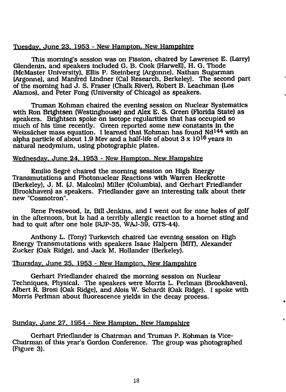#### Tuesday. June 23. 1953 - New Hampton. New Hampshire

This morning's session was on Fission, chaired by Lawrence E. (Larry) Glendenin, and speakers included G. B. Cook (Harwell), H. G. Thode (McMaster University), Ellis P. Steinberg (Argonne). Nathan Sugarman (Argonne), and Manfred Lindner (Cal Research. Berkeley). The second part of the morning had J. S. Fraser (Chalk River). Robert B. Leachman (Los Alamos), and Peter Fong (University of Chicago) as speakers.

Truman Kohman chaired the evening session on Nuclear Systematics with Ron Brlghtsen (Westinghouse) and Alex E. S. Green (Florida State) as speakers. Brightsen spoke on isotope regularities that has occupied so much of his time recently. Green reported some new constants in the Weizsächer mass equation. I learned that Kohman has found Nd<sup>144</sup> with an alpha particle of about 1.9 Mev and a half-life of about  $3 \times 10^{16}$  years in natural neodymium. using photographic plates.

#### Wednesday. June 24. 1953 - New Hampton. New Hampshire

Emilio Segre chaired the morning session on High Energy Transmutations and Photonuclear Reactions with Warren Heckrotte (Berkeley), J. M. (J. Malcolm) Miller (Columbia), and Gerhart Friedlander (Brookhaven) as speakers. Friedlander gave an interesting talk about their new "Cosmotron".

Rene Prestwood, Iz, Bill Jenkins, and I went out for nine holes of golf in the afternoon, but Iz had a terribly allergic reaction to a hornet sting and had to quit after one hole (RJP-35, WAJ-39, GTS-44).

Anthony L. (Tony) Turkevich chaired the evening session on High Energy Transmutations with speakers Isaac Halpern (MIT). Alexander Zucker (Oak Ridge), and Jack M. Hollander (Berkeley).

#### Thursday. June 25. 1953 - New Hampton. New Hampshire

Gerhart Friedlander chaired the morning session on Nuclear Techniques, Physical. The speakers were Morris L. Perlman (Brookhaven), Albert R. Brosi (Oak Ridge), and Alois W. Schardt (Oak Ridge). I spoke with Morris Perlman about fluorescence yields in the decay process.

#### Sunday. June 27. 1954 - New Hampton. New Hampshire

Gerhart Friedlander is Chairman and Truman P. Kohman is Vice-Chairman of this year's Gordon Conference. The group was photographed (Figure 3).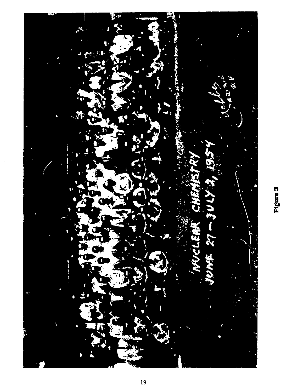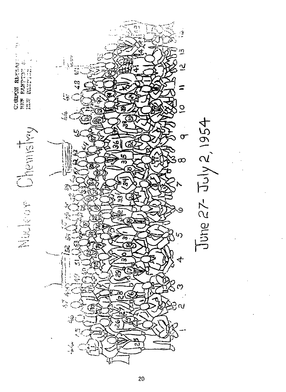ğ m  $\frac{3}{2}$ , i CORPON REVEAR **BEB RANDITOR** ن<br>ون<br>ون  $\frac{1}{2}$  .  $\frac{1}{2}$ June  $27 - \frac{11}{4}$  2, 1954 Nulor Olemstry ्र  $\begin{array}{c} \frac{3}{2} \\ -\frac{1}{2} \end{array}$ 7.

 $20$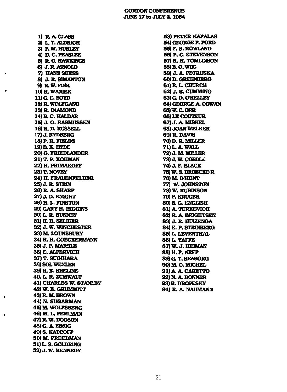#### **GORTON CONFERENCE JUNE 17 to JULY 2, 1954**

**1) R. A. GLASS 2) L.T.ALDRKH 3) P.M.HURLEY 4) D.C.PEASLEE 5) R.C.HAWKINGS 6) J. R. ARNOLD 7) HANS SUESS 8) J.R.SMANTON 9) R.W.FINK 10JR.WANIEK 1DG.E.BOYD 12) R. WOLFGANG 13) R. DIAMOND 14)B.C.HALDAR 15) J. O. RASMUSSEN 16) R. D. RUSSELL 17) J. RYDBERG 18) P. R. FIELDS 19)E.K.HYDE 20) G. FRIEDLANDER 21)T. P. KOHMAN 22) H. PRIMAKOFF 231T.NOVEY 24) H. FRAUENFELDER 25) J. R. STEIN 26) R A. SHARP 27) J. D. KNIGHT 28)H.L,FINSTON 29) GARY H. BIGGINS 30JL.R.BUNNEY 3DH.H.SELIGER 32) J. W. WINCHESTER 33) M. LOUNSBURY 34) R. H. GOECKERMANN 35) J. p. MARBLE 36)E.ALPERVICH 37) T. SUGEHARA 38)SOLWEXLER 39) R. K. SHEIJNE 40. L. R. ZUMWALT 41) CHARLES W. STANLEY 42)W.E.GRUMMnT 43) R.M. BROWN 44) N. SUGARMAN 45)M.WOLFSBERG 46) M. L. PERLMAN 47)R.W.DODSON 48JG.A.ESSIG 49) S. KATCOFF 50) M. FREBDMAN 51)L,S.GOLDRING 52) J. W. KENNEDY** 

٠

**53) PETER KAFALAS 54) GEORGE P. FORD 55) F.S. ROWLAND 56) P. C. STEVENSON 57) R. H. TOMUNSON 58)E.O.WBG 59JJ.A.PETRUSKA 60) D. GREENBERG 61) E.L. CHURCH 62JJ.RCUMMING 63)G.D.OKELLEY 64) GEORGE A. COWAN 65)W.C.ORR 66)LECOUTEUR 67JJ.A.MISKEL 68)JOANWELKER 69) R. DAVIS 70) D.R. MILLER 71) L. A. WALL 72) J. M. MILLER 73) J. W. COBBLE 74) J. F. BLACK 75)W.&BROECKER 76) M. D'HONT 77) W.JOHNSTON 78) W. RUBINSON 79JP.KRUGER 80) a G. ENGLISH 81JA.TURKEVICH 82) R. A. BRIGHTSEN 83)J. R.HUIZENGA 84) E. P. STEINBERG 85) L, LEVENTHAL 86)L.YAFFE 87)W. J.HEIMAN 88) H. F. NEFF 89)G.T.SEABORG 90) M. C.MICHEL 9DA.A.CARETTO 92) N. A. BONNER 93)B. DROPESKY 94) R. A. NAUMANN**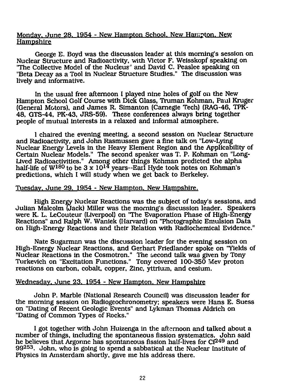#### Monday. June 28, 1954 - New Hampton School. New Hampton. New Hampshire

George E. Boyd was the discussion leader at this morning's session on Nuclear Structure and Radioactivity, with Victor F. Weisskopf speaking on "The Collective Model of the Nucleus'' and David C. Peaslee speaking on "Beta Decay as a Tool in Nuclear Structure Studies." The discussion was lively and informative.

In the usual free afternoon I played nine holes of golf on the New Hampton School Golf Course with Dick Glass, Truman Kohman, Paul Kruger (General Motors), and James R. Simanton (Carnegie Tech) (RAG-46, TPK-48, GTS-44, PK-43, JRS-59). These conferences always bring together people of mutual interests in a relaxed and informal atmosphere.

I chaired the evening meeting, a second session on Nuclear Structure and Radioactivity, and John Rasmussen gave a fine talk on "Low-Lying Nuclear Energy Levels in the Heavy Element Region and the Applicability of Certain Nuclear Models." The second speaker was T. P. Kohman on "Long-Lived Radioactivities." Among other things Kohman predicted the alpha half-life of W<sup>180</sup> to be  $3 \times 10^{14}$  years--Earl Hyde took notes on Kohman's predictions, which I will study when we get back to Berkeley.

#### Tuesday. June 29. 1954 - New Hampton. New Hampshire.

High Energy Nuclear Reactions was the subject of today's sessions, and Julian Malcolm (Jack) Miller was the morning's discussion leader. Speakers were K. L. LeCouteur (Liverpool) on 'The Evaporation Phase of High-Energy Reactions" and Ralph W. Waniek (Harvard) on "Photographic Emulsion Data on High-Energy Reactions and their Relation with Radiochemical Evidence."

Nate Sugarman was the discussion leader for the evening session on High-Energy Nuclear Reactions, and Gerhart Friedlander spoke on 'Yields of Nuclear Reactions in the Cosmotron." The second talk was given by Tony Turkevich on "Excitation Functions." Tony covered 100-350 Mev proton reactions on carbon, cobalt, copper, Zinc, yttrium, and cesium.

#### Wednesday. June 23. 1954 - New Hampton. New Hampshire

John P. Marble (National Research Council) was discussion leader for the morning session on Radiogeochronometry; speakers were Hans E. Suess on "Dating of Recent Geologic Events" and Lykman Thomas Aldrich on "Dating of Common Types of Rocks."

I got together with John Huizenga in the afternoon and talked about a number of things, including the spontaneous fission systematics. John said he believes that Argonne has spontaneous fission half-lives for Cf249 and 99253. John, who is going to spend a sabbatical at the Nuclear Institute of Physics in Amsterdam shortly, gave me his address there.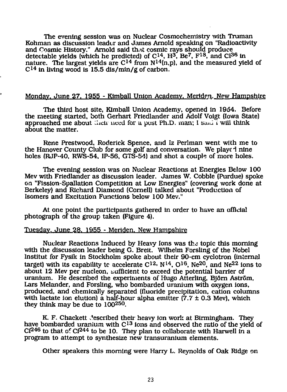The evening session was on Nuclear Cosmochemistry with Truman Kohman as discussion leader and James Arnold speaking on "Radioactivity and Cosmic History." Arnold said that cosmic rays should produce detectable yields (which he predicted) of  $C^{14}$ ,  $H^3$ , Be<sup>7</sup>, F<sup>18</sup>, and Cl<sup>36</sup> in nature. The largest yields are  $C^{14}$  from  $N^{14}(n,p)$ , and the measured yield of  $C^{14}$  in living wood is 15.5 dis/min/g of carbon.

#### Monday. June 27. 1955 - Kimball Union Academy. Meriden. New Hampshire

The third host site, Kimball Union Academy, opened In 1954. Before the meeting started, both Gerhart Friedlander and Adolf Voigt (Iowa State) approached me about their need for a post Ph.D. man; I said i will think about the matter.

Rene Prestwood, Roderick Spence, and Iz Perlman went with me to the Hanover County Club for some golf and conversation. We playe I nine holes (RJP-40, RWS-54, IP-56, GTS-54) and shot a couple of more holes.

The evening session was on Nuclear Reactions at Energies Below 100 Mev with Friedlander as discussion leader. James W. Cobble (Purdue) spoke on "Fission-Spallation Competition at Low Energies" (covering work done at Berkeley) and Richard Diamond (Cornell) talked about "Production of Isomers and Excitation Functions below 100 Mev."

At one point the participants gathered in order to have an official photograph of the group taken (Figure 4).

#### Tuesday. June 28. 1955 - Meriden. New Hampshire

Nuclear Reactions Induced by Heavy Ions was the topic this morning with the discussion leader being G. Breit. Wilhelm Forsling of the Nobel Institut for Fysik in Stockholm spoke about their 90-cm cyclotron (internal target) with its capability tc accelerate  $C^{12}$ . N<sup>14</sup>, O<sup>16</sup>, Ne<sup>20</sup>, and Ne<sup>22</sup> ions to about 12 Mev per nucleon, sufficient to exceed the potential barrier of uranium. He described the experiments of Hugo Atterling, Björn Aström, Lars Melander, and Forsling, who bombarded uranium with oxygen ions, produced, and chemically separated (fluoride precipitation, cation columns with lactate ion elution) a half-hour alpha emitter  $(7.7 \pm 0.3$  Mev), which they think may be due to 100<sup>250</sup>.

K. F. Chackett described their heavy ion work at Birmingham. They have bombarded uranium with  $C^{13}$  ions and observed the ratio of the yield of  $Cf<sup>246</sup>$  to that of Cf<sup>244</sup> to be 10. They plan to collaborate with Harwell in a program to attempt to synthesize new transuranium elements.

Other speakers this morning were Harry L. Reynolds of Oak Ridge on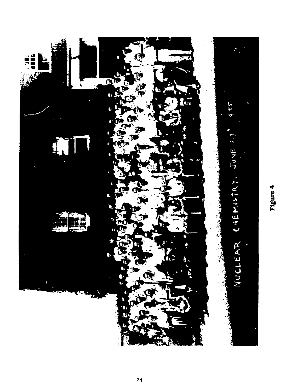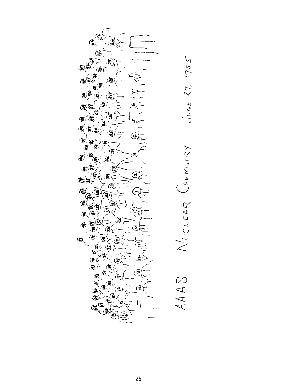$J_{i:\nu\in}$  27, 1755 CHEWISTRY đ. ICLEAR **CO**  $\breve{\ge}$ AAAS Ì١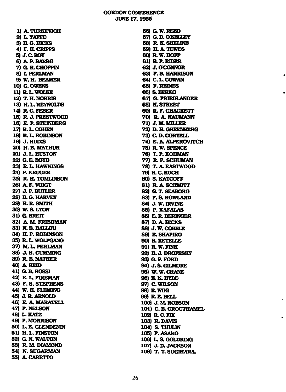#### **GORDON CONFERENCE JUNE 17,1955**

**1) A.TURKEVICH 2) L.YAFFE 3) H.CHICKS 4) F.H.CRIPPS 5) J. a ROY 6) A.P.BAERG 7) G.RCHOPPIN 8) LPERLMAN 9) W.H. BEAMER 10) G. OWENS 11) RL.WOLKE 12) T.H.NORRIS 13) H. L. REYNOLDS 14) R.CFEBER 15) R. J. PRESTWOOD 16) E. P. STEINBERG 17) B. L. COHEN 18) B. L. ROBINSON 19) J. HUDB 20) H.B.MATHUR 21) J. L. HUSTON 22) G.E.BOYD 23) R.L.HAWKINGS 24) P.KRUGER 25) R.H.TOMLINSON 26) A.F.VOIGT 2V) J.P.BUTLER 28) B.G.HARVEY 29) R.R. SMITH 30) W. S. LYON 31) G. BRETT 32) A. M. FRIEDMAN 33) N.E.BALLOU 34) H. P. ROBINSON 35) RL. WOLFGANG 37) M.L. PERLMAN 38) J.B.CUMMING 39) R.B.NATHER 40) A. RED) 41) G. a ROSSI 42) E.L. FIREMAN 43) F.S. STEPHENS 44) W.H.FLEMING 45) J. R. ARNOLD 46) E.A.MARATELL 47) F.NELSON 48) L.KATZ 49) P.MORRISON 50) L. E. GLENDENIN 51) H.L.FTNSTON 52) G.N.WALTON 53) R. ML DIAMOND 54) N. SUGARMAN 55) A.CARBTTO** 

**56) G.W.REED 57) G.D.OKELLEY 58) R.K.SHELINE 59) H.A.TEWES 60) R.W.HOFF 61) RF. RIDER 62) J. O'CONNOR 63) F. B. HARRISON 64) C.L. COWAN 65) F. REINES 66) S.BERKO 67) G. FRIEDLANDER 68) K. STREET 69) R.F.CHACKETT 70) R.A.NAUMANN 71) J. M. MILLER 72) D. H. GREENBERG 73) C.D. CORYELL 74) E.A.ALPEROVITCH 75) R.W. SPENCE 76) T.P.KOHMAN 77) R.P.SCHUMAN 78) T. A EASTWOOD 79) aC.KOCH 80) S.KATCOFF 81) R.A. SCHMITT 82) G.T.SEABORG 83) F. S. ROWLAND 84) J. W. DIVINE 85) P. KAFALAS 86) E.R.BERINGER 87) D.A.HICKS 88) J. W. COBBLE 89) E. SHAPIRO 90) RKETELLE 91) R.W. FINK 92) aj.DROPESKY 93) G. P. FORD 94) J.S.GILMORE 95) W.W.CRANE 96) E K. HYDE 97) C. WILSON 98) E. WIIG 99) R.E. BELL 100) J.M.ROBSON**  101) C. E. CROUTHAMEL **102) RC.FDC**  103) **R. DAVIS 104) S.THULIN 105) F.ASARO 106) L. S. GOLDRING 107) J. D. JACKSON 108) T. T. SUGIHARA.**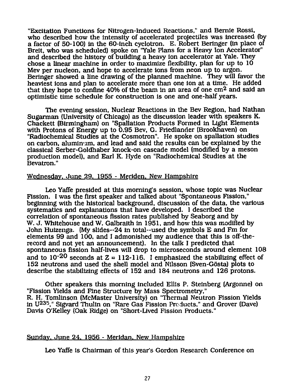"Excitation Functions for Nitrogen-Induced Reactions," and Bemie Rossi, who described how the intensity of accelerated projectiles was increased (by a factor of 50-100) in the 60-inch cyclotron. E. Robert Beringer (in place of Breit, who was scheduled) spoke on 'Yale Plans for a Heavy Ion Accelerator" and described the history of building a heavy ion accelerator at Yale. They chose a linear machine in order to maximize flexibility, plan for up to 10 Mev per nucleon, and hope to accelerate ions from neon up to argon. Beringer showed a line drawing of the planned machine. They will favor the heaviest Ions and plan to accelerate more than one ion at a time. He added that they hope to confine 40% of the beam in an area of one cm<sup>2</sup> and said an optimistic time schedule for construction is one and one-half years.

The evening session, Nuclear Reactions in the Bev Region, had Nathan Sugarman (University of Chicago) as the discussion leader with speakers K. Chackett (Birmingham) on "Spallation Products Formed in Light Elements with Protons of Energy up to 0.95 Bev, G. Friedlander (Brookhaven) on "Radiochemical Studies at the Cosmotron". He spoke on spallation studies on carbon, aluminum, and lead and said the results can be explained by the classical Serber-Goldhaber knock-on cascade model (modified by a meson production model), and Earl K. Hyde on "Radiochemical Studies at the Bevatron."

#### Wednesday. June 29. 1955 - Meriden. New Hampshire

Leo Yaffe presided at this morning's session, whose topic was Nuclear Fission. I was the first speaker and talked about "Spontaneous Fission," beginning with the historical background, discussion of the data, the various systematics and explanations that have developed. I described the correlation of spontaneous fission rates published by Seaborg and by W. J. Whitehouse and W. Galbraith in 1951, and how this was modified by John Huizenga. (My slides—24 in total—used the symbols E and Fm for elements 99 and 100, and I admonished my audience that this is off-therecord and not yet an announcement). In the talk I predicted that spontaneous fission half-lives will drop to microseconds around element 108 and to 10<sup>-20</sup> seconds at  $Z = 112-116$ . I emphasized the stabilizing effect of 152 neutrons and used the shell model and Nilsson (Sven-G6sta) plots to describe the stabilizing effects of 152 and 184 neutrons and 126 protons.

Other speakers this morning included Ellis P. Steinberg (Argonne) on "Fission Yields and Fine Structure by Mass Spectrometry," R. H. Tomlinson (McMaster University) on "Thermal Neutron Fission Yields in U<sup>235</sup>," Sigvard Thulin on "Rare Gas Fission Products," and Grover (Dave) Davis O'Kelley (Oak Ridge) on "Short-Lived Fission Products."

#### Sunday. June 24. 1956 - Meridan. New Hampshire

Leo Yaffe is Chairman of this year's Gordon Research Conference on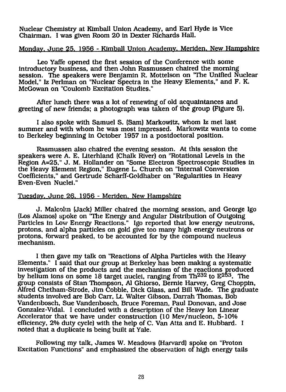Nuclear Chemistry at Kimball Union Academy, and Earl Hyde is Vice Chairman. I was given Room 20 in Dexter Richards Hall.

#### Monday. June 25. 1956 - Kimball Union Academy. Meriden. New Hampshire

Leo Yaffe opened the first session of the Conference with some introductory business, and then John Rasmussen chaired the morning session. The speakers were Benjamin R. Mottelson on 'The Unified Nuclear Model," Iz Perlman on "Nuclear Spectra in the Heavy Elements," and F. K. McGowan on "Coulomb Excitation Studies."

After lunch there was a lot of renewing of old acquaintances and greeting of new friends; a photograph was taken of the group (Figure 5).

I also spoke with Samuel S. (Sam) Markowitz, whom Iz met last summer and with whom he was most impressed. Markowitz wants to come to Berkeley beginning in October 1957 in a postdoctoral position.

Rasmussen also chaired the evening session. At this session the speakers were A. E. Literhland (Chalk River) on "Rotational Levels in the Region A=25," J. M. Hollander on "Some Electron Spectroscopic Studies in the Heavy Element Region," Eugene L. Church on "Internal Conversion Coefficients," and Gertrude Scharff-Goldhaber on "Regularities in Heavy Even-Even Nuclei."

#### Tuesday. June 26. 1956 - Meriden. New Hampshire

J. Malcolm (Jack) Miller chaired the morning session, and George Igo (Los Alamos) spoke on "The Energy and Angular Distribution of Outgoing Particles in Low Energy Reactions." Igo reported that low energy neutrons, protons, and alpha particles on gold give too many high energy neutrons or protons, forward peaked, to be accounted for by the compound nucleus mechanism.

I then gave my talk on "Reactions of Alpha Particles with the Heavy Elements." I said that our group at Berkeley has been making a systematic investigation of the products and the mechanism of the reactions produced by helium ions on some 18 target nuclei, ranging from Th $232$  to  $E253$ . The group consists of Stan Thompson, Al Ghiorso, Bemie Harvey, Greg Choppin, Alfred Chetham-Strode, Jim Cobble, Dick Glass, and Bill Wade. The graduate students involved are Bob Carr, Lt. Walter Gibson, Darrah Thomas, Bob Vandenbosch, Sue Vandenbosch, Bruce Foreman, Paul Donovan, and Jose Gonzalez-Vidal. I concluded with a description of the Heavy Ion Linear Accelerator that we have under construction (10 Mev/nucleon, 5-10% efficiency, 2% duty cycle) with the help of C. Van Atta and E. Hubbard. I noted that a duplicate is being built at Yale.

Following my talk, James W. Meadows (Harvard) spoke on "Proton Excitation Functions" and emphasized the observation of high energy tails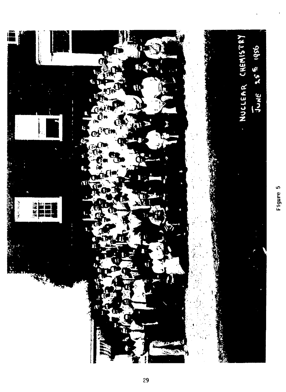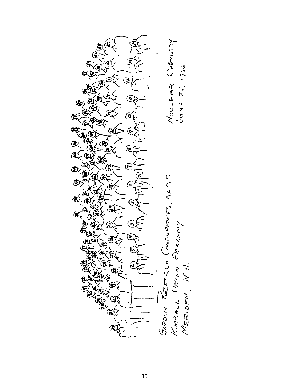**NEW SEARCH** NUCLEAR CHEM<br>JUNE XS. 1756 Œ, Q **CAAG** نري. ิจ Gozonn Rezenzen Conferences.<br>Kimzall (Minn Pradences.<br>MERIDEN, N.H.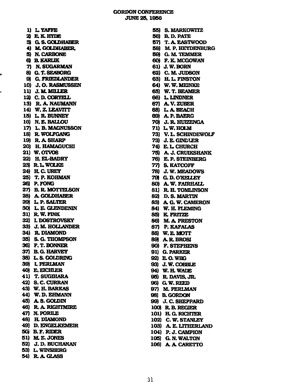**1) L.YAFFE 2) E.K.HYDE 3) G.& GOLDHABER 4) M. GOLDHABER, 5) N.CARBONE 6) B. KARLIK 7) N.SUGARMAN 8) G.T.SEABORG 9) G. FRIEDLANDER 10) J. O. RASMUSSEN 11) J. M. MILLER 12) C.D.CORYELL 13) R.A. NAUMANN 14) W.Z.LEAVTTT 15) L.R.BUNNEY 16) N.E.BALLOU 17) L. B. MAGNUSSON**  18) R. WOLFGANG **19) R. A SHARP 20) H.HAHAGUCHI 21) W.OTVOS 22) H.EL-BADRY 23) RL.WOLKE 24) RC.UREY 25) T. P.KOHMAN 26) P.FONG 27) B. R. MOTTELSON 28) A. GOLDHABER 29) L. P. SALTER 30) L.E.GLENDENIN 31) a W. FINK 32) LDOSTROVSKY 33) J. M. HOLLANDER 34) R. DIAMOND 35) S.G.THOMPSON 36) F.T.BONNER 37) a G.HARVEY 38) L.S.GOLDRING 39) LPERLMAN 40) E.FJCHLER 41) T. SUGIHARA 42) S.C.CURRAN 43) W. H. BARKAS 44) W.D.EHMANN 45) A.S.GOLDIN 46) R.A.RIGHTMIRE 47) N.PORILE 48) H. DIAMOND 49) D. ENGELKEMEIR 50) a F. RIDER 51) M.E. JONES 52) J.D.BUCHANAN 53) L. W1NSBERG 54) R. A. GLASS** 

**55) S.MARKOWITZ 56) B. D. PATE 57) T. A. EASTWOOD 58) M. P. HEYDENBURG 59) G.M.TEMMER 60) F.K.MCGOWAN 61) J. W. BORN 62) C.M.JUDSON 63) H.L. FINSTON 64) W.W.MEINKE 65) W.T.BEAMER 66) L. LINDNER 67) A.V.ZUBER 68) L. A. BEACH 69) A.P.BAERG 70) J.R.HUEENGA 71) LW.HOLM 73) V.L. SCHINDEWOLF 73) J.E.GINLLER 74) E.L. CHURCH 75) A. J. CRUTKSHANK 76) E. P. STEINBERG 77) S. KATCOFF 78) J. W. MEADOWS 79) G.D.O'KELLEY 80) A.W. FAIRHALL 81) R.H. TOMLINSON 82) D.S. MARTIN 83) AG.W.CAMERON 84) W. H. FLEMING 85) KFRITZE 86) M. A PRESTON 87) P.KAFALAS 88) W.E.MOTT 89) A R BROS! 90) F.STEPHENS 91) G. PARKER 92) E.O.WDG 93) J. W. COBBLE 94) W. a WADE 95) R. DAVIS, JR. 96) G.W.REED 97) M. PERLMAN 98) B. GORDON 99) J. C. SHEPPARD 100) R. B. REGIER 101) RG.RICHTER 102) C.W.STANLEY 103) A E. LITHERLAND 104) P. J. CAMPION 105) G.N.WALTON 106) AACARETTO**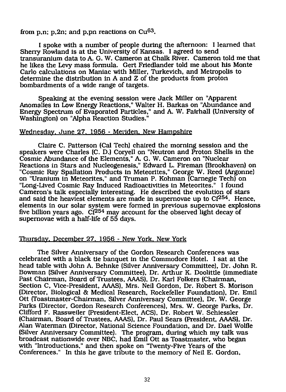# from p,n; p,2n; and p,pn reactions on  $Cu<sup>63</sup>$ .

I spoke with a number of people during the afternoon: I learned that Sherry Rowland is at the University of Kansas. I agreed to send transuranium data to A. G. W. Cameron at Chalk River. Cameron told me that he likes the Levy mass formula. Gert Friedlander told me about his Monte Carlo calculations on Maniac with Miller, Turkevich, and Metropolis to determine the distribution in A and Z of the products from proton bombardments of a wide range of targets.

Speaking at the evening session were Jack Miller on "Apparent Anomalies in Low Energy Reactions," Walter H. Barkas on 'Abundance and Energy Spectrum of Evaporated Particles," and A. W. Fairhall (University of Washington) on "Alpha Reaction Studies."

#### Wednesday. June 27. 1956 - Meriden. New Hampshire

Claire C. Patterson (Cal Tech) chaired the morning session and the speakers were Charles (C. D.) Coryell on "Neutron and Proton Shells in the Cosmic Abundance of the Elements," A. G. W. Cameron on "Nuclear Reactions in Stars and Nucleogenesis," Edward L. Fireman (Brookhaven) on "Cosmic Ray Spallation Products in Meteorites," George W. Reed (Argonne) on "Uranium in Meteorites," and Truman P. Kohman (Carnegie Tech) on "Long-Lived Cosmic Ray Induced Radioactivities in Meteorites." I found Cameron's talk especially interesting. He described the evolution of stars and said the heaviest elements are made in supernovae up to  $Cf^{254}$ . Hence, elements in our solar system were formed in previous supemovae explosions five billion years ago.  $Cf^{254}$  may account for the observed light decay of supemovae with a half-life of 55 days.

#### Thursday. December 27. 1956 - New York. New York

The Silver Anniversary of the Gordon Research Conferences was celebrated with a black tie banquet in the Commodore Hotel. I sat at the head table with John A. Behnke (Silver Anniversary Committee), Dr. John R. Bowman (Silver Anniversary Committee), Dr. Arthur K. Doolittle (immediate Past Chairman, Board of Trustees, AAAS), Dr. Karl Folkers (Chairman, Section C, Vice-President, AAAS), Mrs. Neil Gordon, Dr. Robert S. Morison (Director, Biological & Medical Research, Rockefeller Foundation), Dr. Emil Ott (Toastmaster-Chairman, Silver Anniversary Committee), Dr. W. George Parks (Director, Gordon Research Conferences), Mrs. W. George Parks, Dr. Clifford F. Rassweiler (President-Elect, ACS), Dr. Robert W. Schiessler (Chairman, Board of Trustees, AAAS), Dr. Paul Sears (President, AAAS), Dr. Alan Waterman (Director, National Science Foundation, and Dr. Dael Wolfle (Silver Anniversary Committee). The program, during which my talk was broadcast nationwide over NBC, had Emil Ott as Toastmaster, who began with "Introductions," and then spoke on 'Twenty-Five Years of the Conferences." In this he gave tribute to the memory of Neil E. Gordon,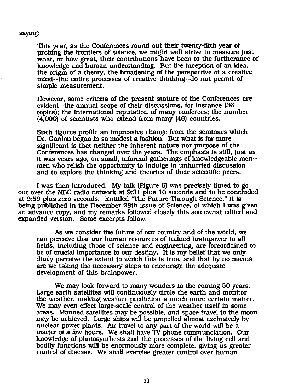#### saying:

This year, as the Conferences round out their twenty-fifth year of probing the frontiers of science, we might well strive to measure just what, or how great, their contributions have been to the furtherance of knowledge and human understanding. But the inception of an idea, the origin of a theory, the broadening of the perspective of a creative mlnd~the entire processes of creative thinking—do not permit of simple measurement.

However, some criteria of the present stature of the Conferences are evident-the annual scope of their discussions, for instance (36 topics); the international reputation of many conferees; the number (4,000) of scientists who attend from many (46) countries.

Such figures profile an impressive change from the seminars which Dr. Gordon began in so modest a fashion. But what is far more significant is that neither the inherent nature nor purpose of the Conferences has changed over the years. The emphasis is still, just as it was years ago, on small, informal gatherings of knowledgeable men-men who relish the opportunity to indulge in unhurried discussion and to explore the thinking and theories of their scientific peers.

I was then introduced. My talk (Figure 6) was precisely timed to go out over the NBC radio network at 9:31 plus 10 seconds and to be concluded at 9:59 plus zero seconds. Entitled 'The Future Through Science," it is being published in the December 28th issue of Science, of which I was given an advance copy, and my remarks followed closely this somewhat edited and expanded version. Some excerpts follow:

As we consider the future of our country and of the world, we can perceive that our human resources of trained brainpower in all fields, including those of science and engineering, are foreordained to be of crucial importance to our destiny. It is my belief that we only dimly perceive the extent to which this is true, and that by no means are we taking the necessary steps to encourage the adequate development of this brainpower.

We may look forward to many wonders in the coming 50 years. Large earth satellites will continuously circle the earth and monitor the weather, making weather prediction a much more certain matter. We may even effect large-scale control of the weather itself in some areas. Manned satellites may be possible, and space travel to the moon may be achieved. Large ships will be propelled almost exclusively by nuclear power plants. Air travel to any part of the world will be a matter of a few hours. We shall have  $\overline{IV}$  phone communciation. Our knowledge of photosynthesis and the processes of the living cell and bodily functions will be enormously more complete, giving us greater control of disease. We shall exercise greater control over human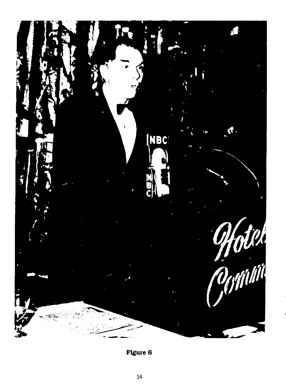

Figure 6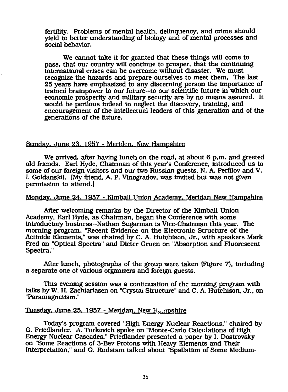fertility. Problems of mental health, delinquency, and crime should yield to better understanding of biology and of mental processes and social behavior.

We cannot take it for granted that these things will come to pass, that our country will continue to prosper, that the continuing international crises can be overcome without disaster. We must recognize the hazards and prepare ourselves to meet them. The last 25 years have emphasized to any discerning person the importance of trained brainpower to our future—to our scientific future in which our economic prosperity and military security are by no means assured. It would be perilous indeed to neglect the discovery, training, and encouragement of the intellectual leaders of this generation and of the generations of the future.

#### Sunday. June 23. 1957 - Meriden. New Hampshire

We arrived, after having lunch on the road, at about 6 p.m. and greeted old friends. Earl Hyde, Chairman of this year's Conference, introduced us to some of our foreign visitors and our two Russian guests, N. A. Perfilov and V. I. Goldanskii. [My friend, A. P. Vinogradov, was invited but was not given permission to attend.]

#### Monday. June 24. 1957 - Kimball Union Academy. Meridan New Hampshire

After welcoming remarks by the Director of the Kimball Union Academy, Earl Hyde, as Chairman, began the Conference with some introductory business—Nathan Sugarman is Vice-Chairman this year. The morning program, "Recent Evidence on the Electronic Structure of the Actinide Elements," was chaired by C. A. Hutchison, Jr., with speakers Mark Fred on "Optical Spectra" and Dieter Gruen on "Absorption and Fluorescent Spectra."

After lunch, photographs of the group were taken (Figure 7), including a separate one of various organizers and foreign guests.

This evening session was a continuation of the morning program with talks by W. H. Zachiariasen on "Crystal Structure" and C. A. Hutchison, Jr., on "Paramagnetism."

#### Tuesday. June 25, 1957 - Meridan. New Hampshire

Today's program covered "High Energy Nuclear Reactions," chaired by G. Friedlander. A. Turkevich spoke on "Monte-Carlo Calculations of High Energy Nuclear Cascades," Friedlander presented a paper by I. Dostrovsky on "Some Reactions of 3-Bev Protons with Heavy Elements and Their Interpretation," and G. Rudstam talked about "Spallation of Some Medium-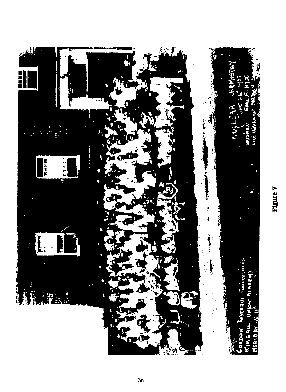

# Figure 7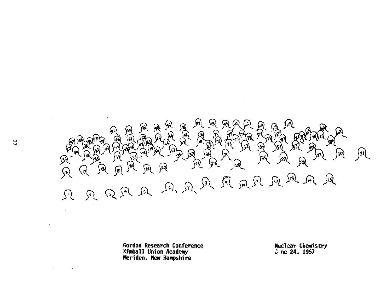

Gordon Research Conference Kimball Union Academy Meriden, New Hampshire

Nuclear Chemistry<br>*C* me 24, 1957

 $\sim$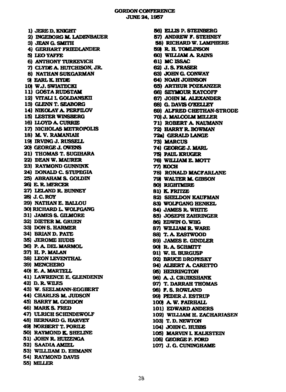**1) JERED. KNIGHT 2) INGEBORG M. LADENBAUER 3) JEAN G. SMITH 4) GERHART FRIEDLANDER 5) LEOYAFFE 6) ANTHONY TURKEVICH 7) CLYDE A. HUTCHISON, JR. 8) NATHAN SUKGARMAN 9) EARL K. HYDE 10) WJ. SWIATECKI 11) GOSTARUDSTAM 12) VTTAU L GOLDANSKH 13) GLENN T.SEABORG 14) NIKOLAYA.PERFILOV 15) LESTER WINSBERG 16) LLOYD A. CURRIE 17) NICHOLAS METROPOLIS 18) H. V. RAMANIAH 19) IRVING J. RUSSELL 20) GEORGE J. OWENS 21) THOMAS T. SUGIHARA 22) DEANW.MAURER 23) RAYMOND GUNNINK 24) DONALD C. STUPEGIA 25) ABRAHAM S. GOLDIN 26) E.R.MERCER 27) LELAKO R. BUNNEY 28) J.CROY 29) NATHAN E.BALLOU 30) RICHARD L. WOLFGANG 31) JAMES S. GILMORE 32) DIETER M.GRUEN 33) DONS.HARMER 34) BRIAN D. PATE 35) JEROME HUDIS 36) P.A.DELMARMOL 37) H.P.MALAN 38) LEONLEVENTHAL 39) MENCHERO 40) E.A.MARTELL 41) LAWRENCE E. GLENDENIN 42) D.R. WILES 43) W. SEELMANN-EGGBERT 44) CHARLES M.JUDSON 45) BARRY M. GORDON 46) MARKS. FRED 47) ULRICH SCHINDEWOLF 48) BERNARD G. HARVEY 49) NORBERTT.PORILE 50) RAYMOND K, SHELINE 51) JOHNR.HUIZENGA 52) SAADIA AMIEL 53) WILLHAM D. EHMANN 54) RAYMOND DAVIS 55) MILLER** 

**56) ELLIS P. STEINBERG 57) ANDREW F. STEHNEY 58) RICHARD W. LAMPHERE 59) R.H.TOMUNSON 60) WILLIAM A. RAINS 61) MCISSAC 62) J.S.FRASER 63) JOHN G. CONWAY 64) NOAH JOHNSON 65) ARTHUR POZKANZER 66) SEYMOUR KATCOFF 67) JOHN M. ALEXANDER 68) G. DAVIS OKELLEY 69) ALFRED CHETHAN-STRODE 70) J. MALCOLM MILLER 71) ROBERT A. NAUMANN 72) HARRY R. BOWMAN 72a] GERALD LANGE 73) MARCUS 74) GEORGE J. MARL 75) PAULKRUGER 76) WILLIAM E.MOTT 77) KOCH 78) RONALD MACFARLANE 79) WALTER M. GIBSON 80) RIGHTMIRE 81) K.FRITZE 82) SHELDON KAUFMAN 83) WOLFGANG HENKEL 84) JAMES R. WHITE 85) JOSEPH ZAHRINGER 86) EDWIN O.WHG 87) WILLIAMR.WARE 88) T. A. EASTWOOD 89) JAMES E. GINDLER 90) R.ASCHMITT 91) W. H. BURGUSP 92) BRUCE DROPESKY 94) ALBERT A. CARETTO 95) HERRINGTON 96) A. J. CRUIKSHANK 97) T. DARRAH THOMAS 98) F.S. ROWLAND 99) PEDERJ.ESTRUP 100) AW. FAIRHALL 101) EDWARD ANDERS 102) WILLIAM H. ZACHARIASEN 103) T.D. NEWTON 104) JOHN C. HUBBS 105) MARVIN L KALKSTEIN 106) GEORGE P. FORD 107) J. G. CUNINGHAME**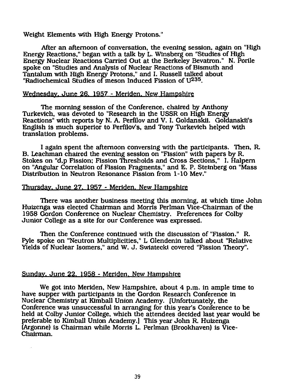Weight Elements with High Energy Protons."

After an afternoon of conversation, the evening session, again on "High Energy Reactions," began with a talk by L. Winsberg on "Studies of High Energy Nuclear Reactions Carried Out at the Berkeley Bevatron." N. Porile spoke on "Studies and Analysis of Nuclear Reactions of Bismuth and Tantalum with High Energy Protons," and I. Russell talked about "Radiochemical Studies of meson Induced Fission of U<sup>235</sup>.

#### Wednesday. June 26. 1957 - Meriden. New Hampshire

The morning session of the Conference, chaired by Anthony Turkevich, was devoted to "Research in the USSR on High Energy Reactions" with reports by N. A. Perfilov and V. I. Goldanskii. Goldanskii's English is much superior to Perfilov's, and Tony Turkevich helped with translation problems.

I again spent the afternoon conversing with the participants. Then, R. B. Leachman chaired the evening session on "Fission" with papers by R. Stokes on "d.p Fission; Fission Thresholds and Cross Sections," I. Halpern on "Angular Correlation of Fission Fragments," and E. P. Steinberg on "Mass Distribution in Neutron Resonance Fission from 1-10 Mev."

## Thursday. June 27. 1957 - Meriden. New Hampshire

There was another business meeting this morning, at which time John Huizenga was elected Chairman and Morris Perlman Vice-Chairman of the 1958 Gordon Conference on Nuclear Chemistry. Preferences for Colby Junior College as a site for our Conference was expressed.

Then the Conference continued with the discussion of "Fission." R. Pyle spoke on "Neutron Multiplicities," L Glendenin talked about "Relative Yields of Nuclear Isomers," and W. J. Swiatecki covered "Fission Theory".

#### Sunday. June 22. 1958 - Meriden. New Hampshire

We got into Meriden, New Hampshire, about 4 p.m. in ample time to have supper with participants in the Gordon Research Conference in Nuclear Chemistry at Kimball Union Academy. [Unfortunately, the Conference was unsuccessful in arranging for this year's Conference to be held at Colby Junior College, which the attendees decided last year would be preferable to Kimball Union Academy.] This year John R. Huizenga (Argonne) is Chairman while Morris L. Perlman (Brookhaven) is Vice-Chairman.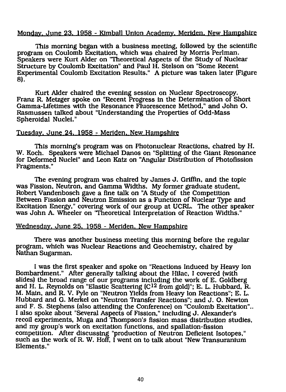#### Monday. June 23. 1958 - Kimball Union Academy. Meriden. New Hampshire

This morning began with a business meeting, followed by the scientific program on Coulomb Excitation, which was chaired by Morris Perlman. Speakers were Kurt Alder on "Theoretical Aspects of the Study of Nuclear Structure by Coulomb Excitation" and Paul H. Stelson on "Some Recent Experimental Coulomb Excitation Results." A picture was taken later (Figure 8).

Kurt Alder chaired the evening session on Nuclear Spectroscopy. Franz R. Metzger spoke on "Recent Progress in the Determination of Short Gamma-Lifetimes with the Resonance Fluorescence Method," and John O. Rasmussen talked about "Understanding the Properties of Odd-Mass Spheroidal Nuclei."

#### Tuesday. June 24. 1958 - Meriden. New Hampshire

This morning's program was on Photonuclear Reactions, chaired by H. W. Koch. Speakers were Michael Danos on "Splitting of the Giant Resonance for Deformed Nuclei" and Leon Katz on "Angular Distribution of Photofission Fragments."

The evening program was chaired by James J. Griffin, and the topic was Fission, Neutron, and Gamma Widths. My former graduate student, Robert Vandenbosch gave a fine talk on "A Study of the Competition Between Fission and Neutron Emission as a Function of Nuclear Type and Excitation Energy," covering work of our group at UCRL. The other speaker was John A. Wheeler on 'Theoretical Interpretation of Reaction Widths."

#### Wednesday. June 25. 1958 - Meriden. New Hampshire

There was another business meeting this morning before the regular program, which was Nuclear Reactions and Geochemistry, chaired by Nathan Sugarman.

I was the first speaker and spoke on "Reactions Induced by Heavy Ion Bombardment." After generally talking about the Hilac, I covered (with slides) the broad range of our programs including the work of E. Goldberg and H. L. Reynolds on "Elastic Scattering  $(C^{12}$  from gold)"; E. L. Hubbard, R. M. Main, and R. V. Pyle on "Neutron Yields from Heavy Ion Reactions"; E. L. Hubbard and G. Merkel on "Neutron Transfer Reactions"; and J. O. Newton and F. S. Stephens (also attending the Conference) on "Coulomb Excitation".. I also spoke about "Several Aspects of Fission," including J. Alexander's recoil experiments, Muga and Thompson's fission mass distribution studies, and my group's work on excitation functions, and spallation-fission competition. After discussing "production of Neutron Deficient Isotopes," such as the work of R. W. Hoff, I went on to talk about "New Transuranium Elements."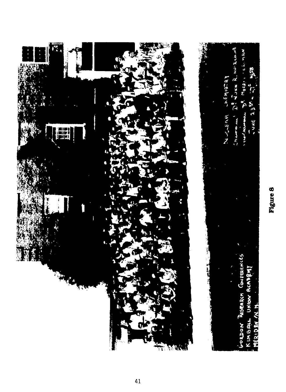

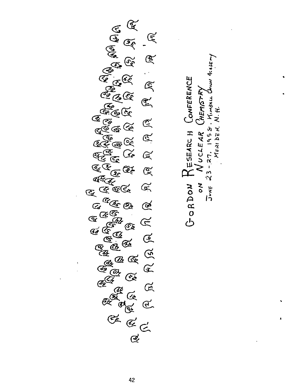ର ସ୍ତ୍ରି କୁଲ୍ଲ କୁଲ୍ଲ କୁଲ୍ଲ ବିଜ୍ନ କୁଲ୍ଲ କୁଲ୍ଲ କୁଲ୍ଲ କୁଲ୍ଲ କୁଲ୍ଲ କୁଲ୍ଲ କୁଲ୍ଲ କୁଲ୍ଲ କୁଲ୍ଲ କୁଲ୍ଲ କୁଲ୍ଲ କୁଲ୍ଲ କୁ<br>ମୁକ୍ଲ କୁଲ୍ଲ କୁଲ୍ଲ କୁଲ୍ଲ କୁଲ୍ଲ କୁଲ୍ଲ କୁଲ୍ଲ କୁଲ୍ଲ କୁଲ୍ଲ କୁଲ୍ଲ କୁଲ୍ଲ କୁଲ୍ଲ କୁଲ୍ଲ କୁଲ୍ଲ କୁଲ୍ଲ କୁଲ୍ଲ କୁଲ୍ଲ କୁଲ୍ଲ କୁ<br> GORDON RESEARCH CONFERENCE<br>
ON NUCLEAR CHEMOTRY<br>
JUNE 23-27, 1958 KIMBALL WILHOW (14125)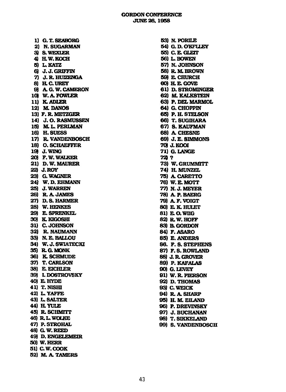#### **GORDON CONFERENCE JUNE 26, 1958**

**1) G.T.SEABORG 2) N.SUGARMAN 3) S.WEXLER 4) H.W.KOCH 5) L.KATZ 6) J. J. GRIFFIN 7) J.R.HU1ZENGA 8) H.C.UREY 9) A.G.W.CAMERON 10) W. A. FOWLER 11) K.ADLER 12) M.DANOS 13) F.R.METZGER 14) J. O. RASMUSSEN 15) M.L.PERLMAN 16) H.SUESS 17) R. VANDENBOSCH 18) O.SCHAEFFER 19) J. WING 20) F.W. WALKER 21) D.W.MAURER 22) J. ROY 23) G. WAGNER 24) W.D.EHMANN 25) J.WARREN 26) R. A. JAMES 27) D.S.HARMER 28) W.HENKES 29) E.SPRENKEL 30) KKIGOSHI 31) C. JOHNSON 32) R.NAUMANN 33) N.E.BAIXOU 34) W. J. SWIATECKI 35) R.G.MONK 36) K.SCHMUDE 37) T.CARLSON 38) E.EICHLER 39) LDOSTROVSKY 40) E.HYDE 41) T.NISHI 42) L.YAFFE 43) L. SALTER 44) H.YULE 45) R.SCHMTTT 46) R.L.WOLKE 47) P.STROHAL 48) aw.REED 49) D.ENGELEMEIR 50) W.HERR 51) a W.COOK 52) M. A. TAMERS** 

**53) N.PORILE 54) G.D.OKFILEY 55) C.E.GLEIT 56) L.BOWEN 57) N. JOHNSON 58) R.M. BROWN 59) E. CHURCH 60) H.E.GOVE 61) D.STROMINGER 62) M.KALKSTEIN 63) P. DELMARMOL 64) G. CHOPPIN 65) P.H.STELSON 66) T. SUGIHARA 67) S. KAUFMAN 68) A.CHESNE 69) J. E. SIMMONS 70) J.KOOI 71) G. LANGE 72) ? 73) W. GRUMMTTT 74) H.MUNZEL 75) A.CARETTO 76) W.E.MOTT 77) N.J.MEYER 78) A.P.BAERG 79) A.F.V0IGT 80) E.K.HULET 81) B.O.WQG 82) R.W.H0FF 83) B. GORDON 84) F.ASARO 85) E. ANDERS 86. F.S. STEPHENS 87) F.S.ROWLAND 88) J.R.GROVER 89) P. KAFALAS 90) G. LEVEY 91) W.R. PERSON 92) D.THOMAS 93) C.WEICK 94) R. A. SHARP 95) H.M.EILAND 96) P. DREVINSKY 97) J.BUCHANAN 98) T.SIKKELAND 99) S. VANDENBOSCH**